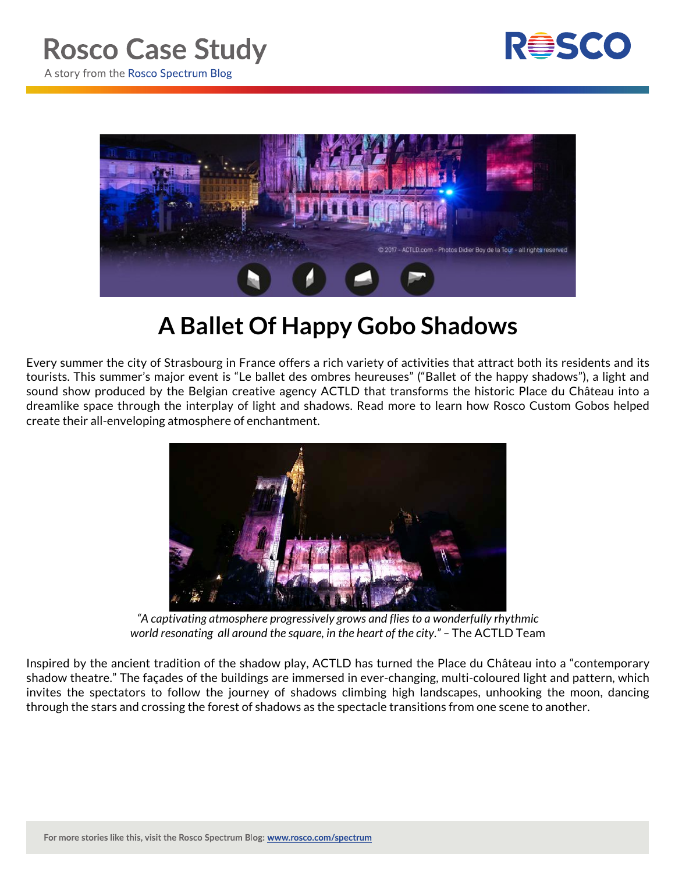



## **A Ballet Of Happy Gobo Shadows**

Every summer the city of Strasbourg in France offers a rich variety of activities that attract both its residents and its tourists. This summer's major event is "Le ballet des ombres heureuses" ("Ballet of the happy shadows"), a light and sound show produced by the Belgian creative agency ACTLD that transforms the historic Place du Château into a dreamlike space through the interplay of light and shadows. Read more to learn how Rosco Custom Gobos helped create their all-enveloping atmosphere of enchantment.



*"A captivating atmosphere progressively grows and flies to a wonderfully rhythmic world resonating all around the square, in the heart of the city." –* The ACTLD Team

Inspired by the ancient tradition of the shadow play, ACTLD has turned the Place du Château into a "contemporary shadow theatre." The façades of the buildings are immersed in ever-changing, multi-coloured light and pattern, which invites the spectators to follow the journey of shadows climbing high landscapes, unhooking the moon, dancing through the stars and crossing the forest of shadows as the spectacle transitions from one scene to another.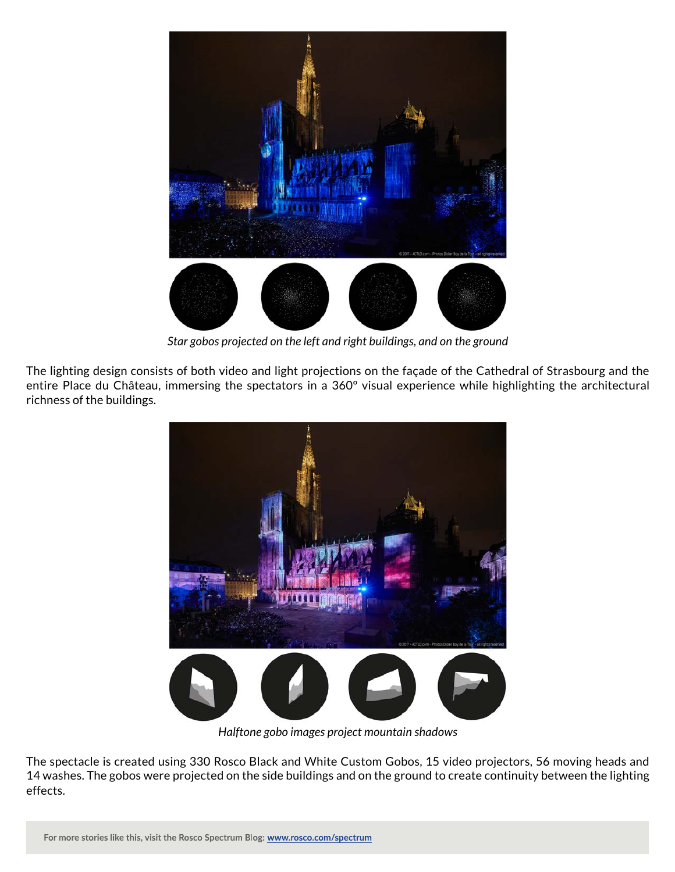

*Star gobos projected on the left and right buildings, and on the ground*

The lighting design consists of both video and light projections on the façade of the Cathedral of Strasbourg and the entire Place du Château, immersing the spectators in a 360º visual experience while highlighting the architectural richness of the buildings.



*Halftone gobo images project mountain shadows*

The spectacle is created using 330 Rosco Black and White Custom Gobos, 15 video projectors, 56 moving heads and 14 washes. The gobos were projected on the side buildings and on the ground to create continuity between the lighting effects.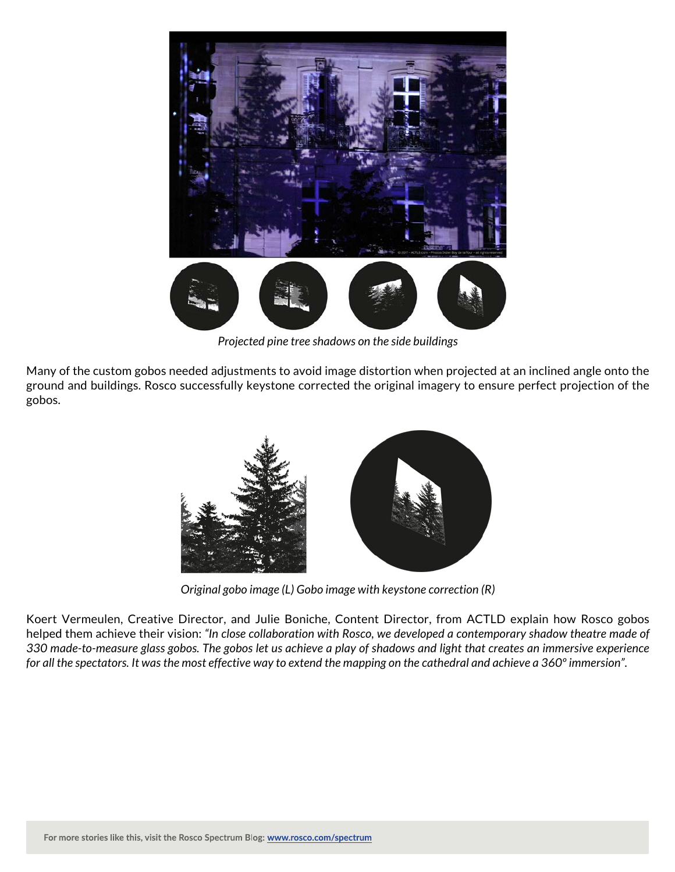

*Projected pine tree shadows on the side buildings*

Many of the custom gobos needed adjustments to avoid image distortion when projected at an inclined angle onto the ground and buildings. Rosco successfully keystone corrected the original imagery to ensure perfect projection of the gobos.



*Original gobo image (L) Gobo image with keystone correction (R)*

Koert Vermeulen, Creative Director, and Julie Boniche, Content Director, from ACTLD explain how Rosco gobos helped them achieve their vision: *"In close collaboration with Rosco, we developed a contemporary shadow theatre made of 330 made-to-measure glass gobos. The gobos let us achieve a play of shadows and light that creates an immersive experience for all the spectators. It was the most effective way to extend the mapping on the cathedral and achieve a 360º immersion".*